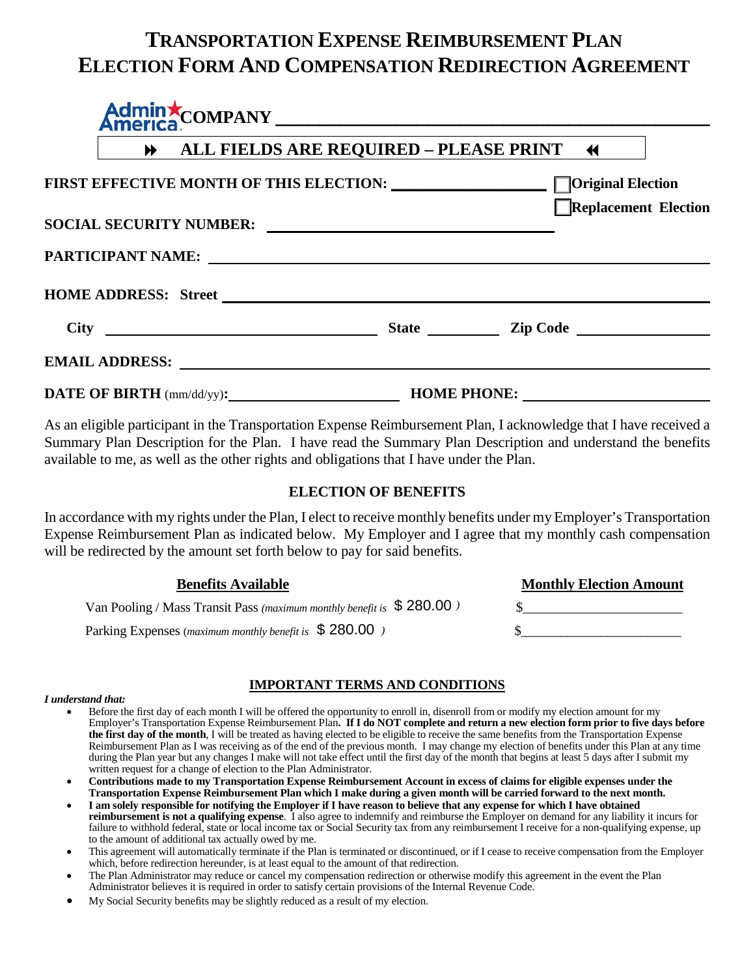# **TRANSPORTATION EXPENSE REIMBURSEMENT PLAN ELECTION FORM AND COMPENSATION REDIRECTION AGREEMENT**

|                                                                     | ALL FIELDS ARE REQUIRED - PLEASE PRINT 4 |                                                     |  |  |
|---------------------------------------------------------------------|------------------------------------------|-----------------------------------------------------|--|--|
| FIRST EFFECTIVE MONTH OF THIS ELECTION: Network and Social Clection |                                          | Replacement Election                                |  |  |
|                                                                     |                                          |                                                     |  |  |
|                                                                     |                                          |                                                     |  |  |
|                                                                     |                                          |                                                     |  |  |
|                                                                     |                                          |                                                     |  |  |
|                                                                     |                                          |                                                     |  |  |
|                                                                     |                                          | <b>DATE OF BIRTH</b> (mm/dd/yy): <b>HOME PHONE:</b> |  |  |

As an eligible participant in the Transportation Expense Reimbursement Plan, I acknowledge that I have received a Summary Plan Description for the Plan. I have read the Summary Plan Description and understand the benefits available to me, as well as the other rights and obligations that I have under the Plan.

## **ELECTION OF BENEFITS**

In accordance with my rights under the Plan, I elect to receive monthly benefits under my Employer's Transportation Expense Reimbursement Plan as indicated below. My Employer and I agree that my monthly cash compensation will be redirected by the amount set forth below to pay for said benefits.

**Monthly Election Amount** 

| <b>Benefits Available</b> |  |  |
|---------------------------|--|--|
|                           |  |  |

| Van Pooling / Mass Transit Pass (maximum monthly benefit is \$280.00) |  |
|-----------------------------------------------------------------------|--|
| Parking Expenses (maximum monthly benefit is \$280.00)                |  |

## **IMPORTANT TERMS AND CONDITIONS**

#### *I understand that:*

- Before the first day of each month I will be offered the opportunity to enroll in, disenroll from or modify my election amount for my Employer's Transportation Expense Reimbursement Plan**. If I do NOT complete and return a new election form prior to five days before the first day of the month**, I will be treated as having elected to be eligible to receive the same benefits from the Transportation Expense Reimbursement Plan as I was receiving as of the end of the previous month. I may change my election of benefits under this Plan at any time during the Plan year but any changes I make will not take effect until the first day of the month that begins at least 5 days after I submit my written request for a change of election to the Plan Administrator.
- **Contributions made to my Transportation Expense Reimbursement Account in excess of claims for eligible expenses under the Transportation Expense Reimbursement Plan which I make during a given month will be carried forward to the next month.**
- **I am solely responsible for notifying the Employer if I have reason to believe that any expense for which I have obtained reimbursement is not a qualifying expense**. I also agree to indemnify and reimburse the Employer on demand for any liability it incurs for failure to withhold federal, state or local income tax or Social Security tax from any reimbursement I receive for a non-qualifying expense, up to the amount of additional tax actually owed by me.
- This agreement will automatically terminate if the Plan is terminated or discontinued, or if I cease to receive compensation from the Employer which, before redirection hereunder, is at least equal to the amount of that redirection.
- The Plan Administrator may reduce or cancel my compensation redirection or otherwise modify this agreement in the event the Plan Administrator believes it is required in order to satisfy certain provisions of the Internal Revenue Code.
- My Social Security benefits may be slightly reduced as a result of my election.